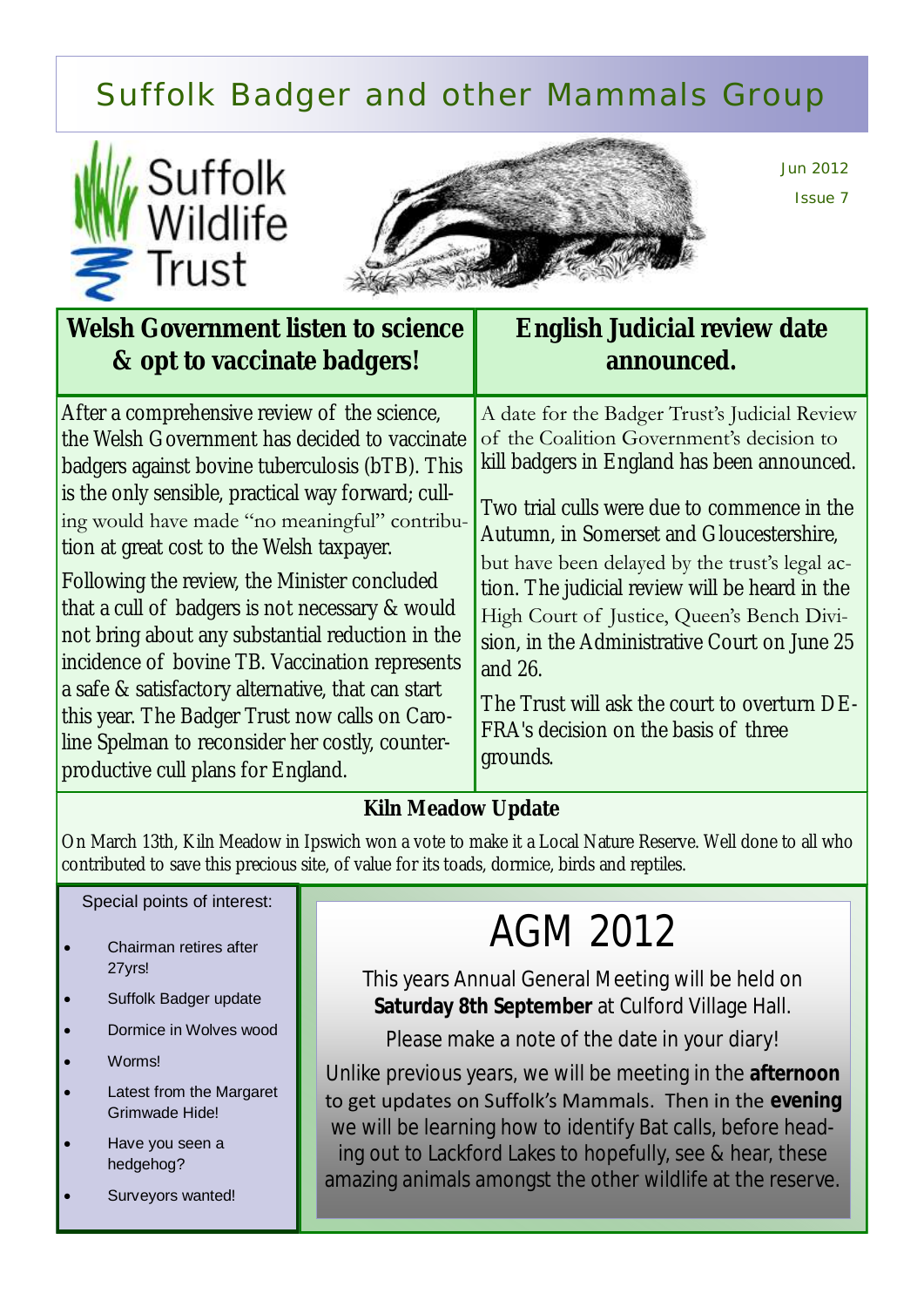### Suffolk Badger and other Mammals Group





Jun 2012 Issue 7

| Welsh Government listen to science                                                                                                                                                                                                                                                                                                                                                                                                                                                                                                                                                                                                                                                                            | English Judicial review date                                                                                                                                                                                                                                                                                                                                                                                                                                                                                                                          |
|---------------------------------------------------------------------------------------------------------------------------------------------------------------------------------------------------------------------------------------------------------------------------------------------------------------------------------------------------------------------------------------------------------------------------------------------------------------------------------------------------------------------------------------------------------------------------------------------------------------------------------------------------------------------------------------------------------------|-------------------------------------------------------------------------------------------------------------------------------------------------------------------------------------------------------------------------------------------------------------------------------------------------------------------------------------------------------------------------------------------------------------------------------------------------------------------------------------------------------------------------------------------------------|
| & opt to vaccinate badgers!                                                                                                                                                                                                                                                                                                                                                                                                                                                                                                                                                                                                                                                                                   | announced.                                                                                                                                                                                                                                                                                                                                                                                                                                                                                                                                            |
| After a comprehensive review of the science,<br>the Welsh Government has decided to vaccinate<br>badgers against bovine tuberculosis (bTB). This<br>is the only sensible, practical way forward; cull-<br>ing would have made "no meaningful" contribu-<br>tion at great cost to the Welsh taxpayer.<br>Following the review, the Minister concluded<br>that a cull of badgers is not necessary & would<br>not bring about any substantial reduction in the<br>incidence of bovine TB. Vaccination represents<br>a safe & satisfactory alternative, that can start<br>this year. The Badger Trust now calls on Caro-<br>line Spelman to reconsider her costly, counter-<br>productive cull plans for England. | A date for the Badger Trust's Judicial Review<br>of the Coalition Government's decision to<br>kill badgers in England has been announced.<br>Two trial culls were due to commence in the<br>Autumn, in Somerset and Gloucestershire,<br>but have been delayed by the trust's legal ac-<br>tion. The judicial review will be heard in the<br>High Court of Justice, Queen's Bench Divi-<br>sion, in the Administrative Court on June 25<br>and 26.<br>The Trust will ask the court to overturn DE-<br>FRA's decision on the basis of three<br>grounds. |

#### **Kiln Meadow Update**

On March 13th, Kiln Meadow in Ipswich won a vote to make it a Local Nature Reserve. Well done to all who contributed to save this precious site, of value for its toads, dormice, birds and reptiles.

#### Special points of interest:

- Chairman retires after 27yrs!
- Suffolk Badger update
- Dormice in Wolves wood
- Worms!
- Latest from the Margaret Grimwade Hide!
- Have you seen a hedgehog?
- Surveyors wanted!

## AGM 2012

This years Annual General Meeting will be held on **Saturday 8th September** at Culford Village Hall.

Please make a note of the date in your diary!

Unlike previous years, we will be meeting in the **afternoon** to get updates on Suffolk's Mammals. Then in the **evening**  we will be learning how to identify Bat calls, before heading out to Lackford Lakes to hopefully, see & hear, these amazing animals amongst the other wildlife at the reserve.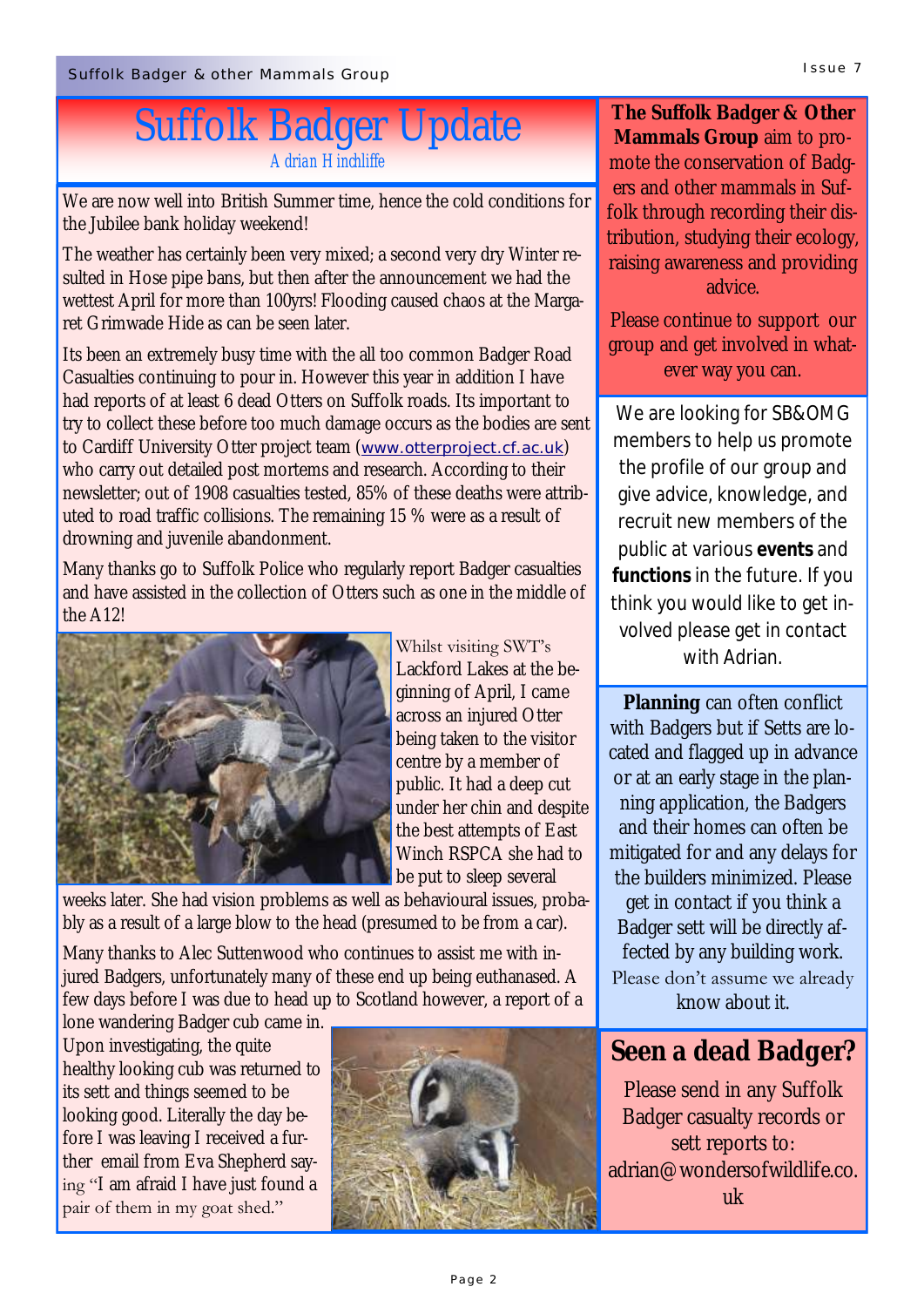### Suffolk Badger Update *Adrian Hinchliffe*

We are now well into British Summer time, hence the cold conditions for the Jubilee bank holiday weekend!

The weather has certainly been very mixed; a second very dry Winter resulted in Hose pipe bans, but then after the announcement we had the wettest April for more than 100yrs! Flooding caused chaos at the Margaret Grimwade Hide as can be seen later.

Its been an extremely busy time with the all too common Badger Road Casualties continuing to pour in. However this year in addition I have had reports of at least 6 dead Otters on Suffolk roads. Its important to try to collect these before too much damage occurs as the bodies are sent to Cardiff University Otter project team (*[www.otterproject.cf.ac.uk](http://www.otterproject.cf.ac.uk/)*) who carry out detailed post mortems and research. According to their newsletter; out of 1908 casualties tested, 85% of these deaths were attributed to road traffic collisions. The remaining 15 % were as a result of drowning and juvenile abandonment.

Many thanks go to Suffolk Police who regularly report Badger casualties and have assisted in the collection of Otters such as one in the middle of the A12!



Whilst visiting SWT's Lackford Lakes at the beginning of April, I came across an injured Otter being taken to the visitor centre by a member of public. It had a deep cut under her chin and despite the best attempts of East Winch RSPCA she had to be put to sleep several

weeks later. She had vision problems as well as behavioural issues, probably as a result of a large blow to the head (presumed to be from a car).

Many thanks to Alec Suttenwood who continues to assist me with injured Badgers, unfortunately many of these end up being euthanased. A few days before I was due to head up to Scotland however, a report of a

lone wandering Badger cub came in. Upon investigating, the quite healthy looking cub was returned to its sett and things seemed to be looking good. Literally the day before I was leaving I received a further email from Eva Shepherd saying "I am afraid I have just found a pair of them in my goat shed."



**The Suffolk Badger & Other Mammals Group** aim to promote the conservation of Badgers and other mammals in Suffolk through recording their distribution, studying their ecology, raising awareness and providing advice.

Please continue to support our group and get involved in whatever way you can.

We are looking for SB&OMG members to help us promote the profile of our group and give advice, knowledge, and recruit new members of the public at various **events** and **functions** in the future. If you think you would like to get involved please get in contact with Adrian.

**Planning** can often conflict with Badgers but if Setts are located and flagged up in advance or at an early stage in the planning application, the Badgers and their homes can often be mitigated for and any delays for the builders minimized. Please get in contact if you think a Badger sett will be directly affected by any building work. Please don't assume we already know about it.

**Seen a dead Badger?**

Please send in any Suffolk Badger casualty records or sett reports to: adrian@wondersofwildlife.co. uk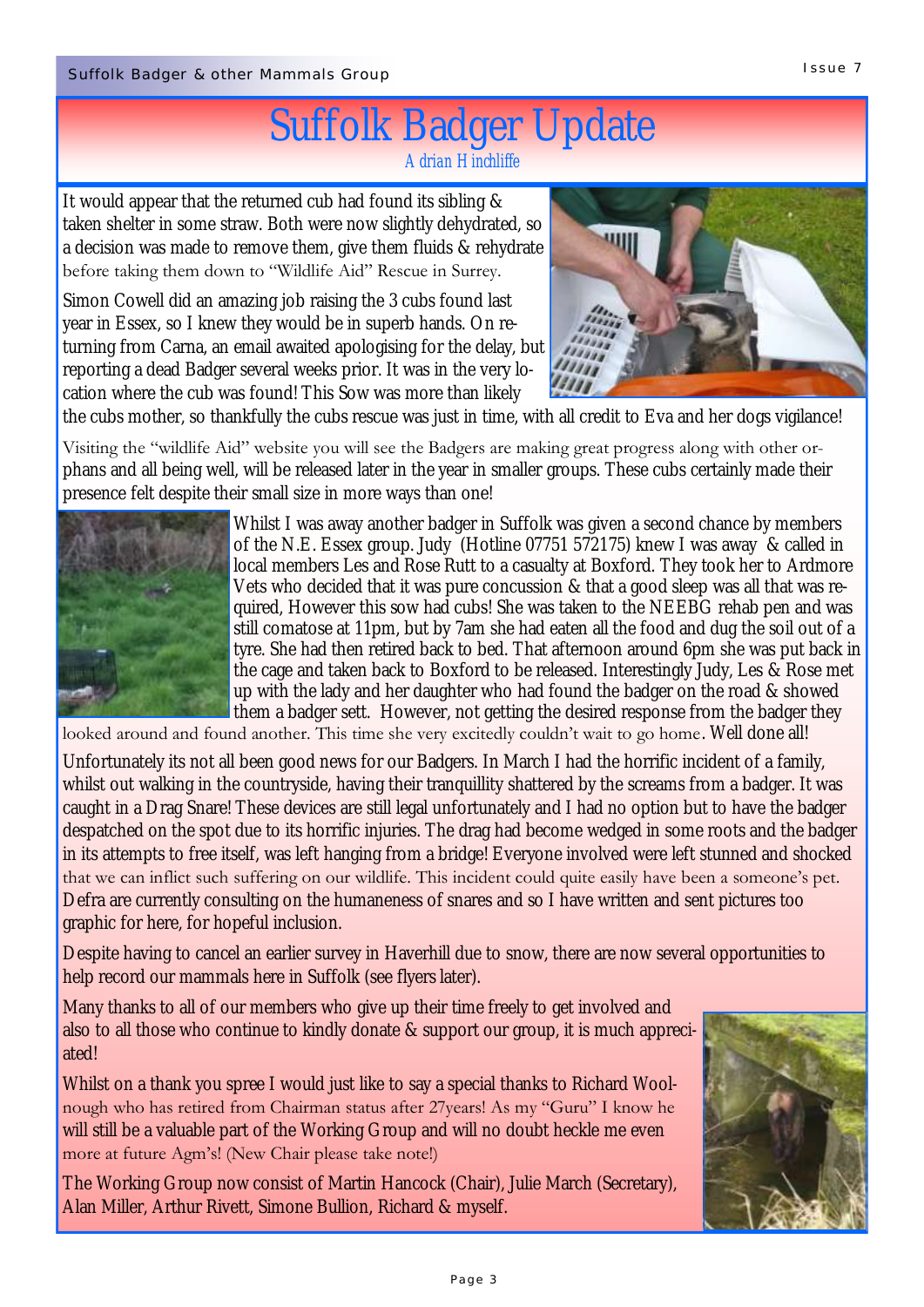#### Suffolk Badger Update *Adrian Hinchliffe*

It would appear that the returned cub had found its sibling & taken shelter in some straw. Both were now slightly dehydrated, so a decision was made to remove them, give them fluids & rehydrate before taking them down to "Wildlife Aid" Rescue in Surrey.

Simon Cowell did an amazing job raising the 3 cubs found last year in Essex, so I knew they would be in superb hands. On returning from Carna, an email awaited apologising for the delay, but reporting a dead Badger several weeks prior. It was in the very location where the cub was found! This Sow was more than likely



the cubs mother, so thankfully the cubs rescue was just in time, with all credit to Eva and her dogs vigilance!

Visiting the "wildlife Aid" website you will see the Badgers are making great progress along with other orphans and all being well, will be released later in the year in smaller groups. These cubs certainly made their presence felt despite their small size in more ways than one!



Whilst I was away another badger in Suffolk was given a second chance by members of the N.E. Essex group. Judy (Hotline 07751 572175) knew I was away & called in local members Les and Rose Rutt to a casualty at Boxford. They took her to Ardmore Vets who decided that it was pure concussion & that a good sleep was all that was required, However this sow had cubs! She was taken to the NEEBG rehab pen and was still comatose at 11pm, but by 7am she had eaten all the food and dug the soil out of a tyre. She had then retired back to bed. That afternoon around 6pm she was put back in the cage and taken back to Boxford to be released. Interestingly Judy, Les & Rose met up with the lady and her daughter who had found the badger on the road & showed them a badger sett. However, not getting the desired response from the badger they

looked around and found another. This time she very excitedly couldn't wait to go home. Well done all!

Unfortunately its not all been good news for our Badgers. In March I had the horrific incident of a family, whilst out walking in the countryside, having their tranquillity shattered by the screams from a badger. It was caught in a Drag Snare! These devices are still legal unfortunately and I had no option but to have the badger despatched on the spot due to its horrific injuries. The drag had become wedged in some roots and the badger in its attempts to free itself, was left hanging from a bridge! Everyone involved were left stunned and shocked that we can inflict such suffering on our wildlife. This incident could quite easily have been a someone's pet. Defra are currently consulting on the humaneness of snares and so I have written and sent pictures too graphic for here, for hopeful inclusion.

Despite having to cancel an earlier survey in Haverhill due to snow, there are now several opportunities to help record our mammals here in Suffolk (see flyers later).

Many thanks to all of our members who give up their time freely to get involved and also to all those who continue to kindly donate & support our group, it is much appreciated!

Whilst on a thank you spree I would just like to say a special thanks to Richard Woolnough who has retired from Chairman status after 27years! As my "Guru" I know he will still be a valuable part of the Working Group and will no doubt heckle me even more at future Agm's! (New Chair please take note!)

The Working Group now consist of Martin Hancock (Chair), Julie March (Secretary), Alan Miller, Arthur Rivett, Simone Bullion, Richard & myself.

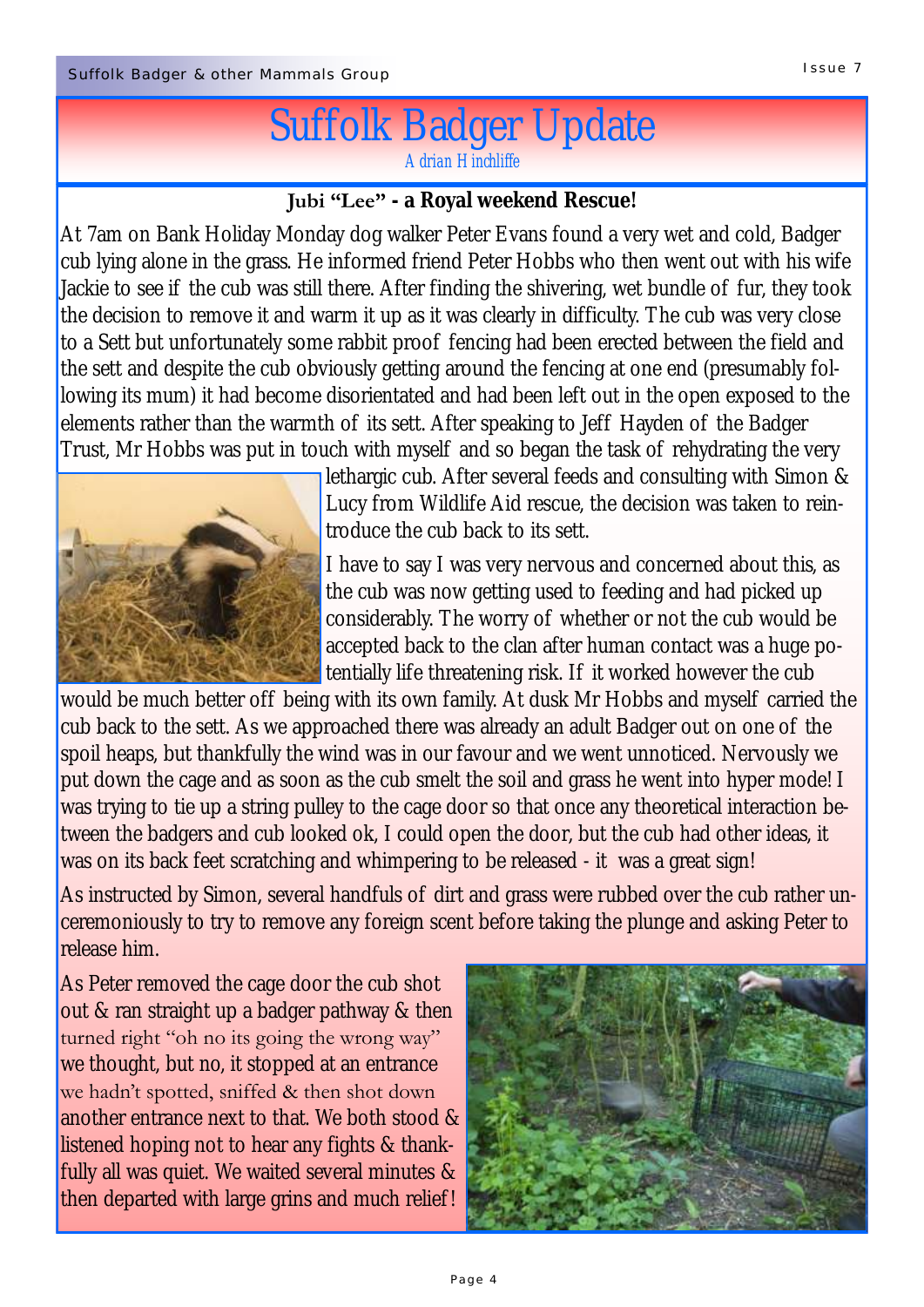# Suffolk Badger Update

*Adrian Hinchliffe*

#### **Jubi "Lee" - a Royal weekend Rescue!**

At 7am on Bank Holiday Monday dog walker Peter Evans found a very wet and cold, Badger cub lying alone in the grass. He informed friend Peter Hobbs who then went out with his wife Jackie to see if the cub was still there. After finding the shivering, wet bundle of fur, they took the decision to remove it and warm it up as it was clearly in difficulty. The cub was very close to a Sett but unfortunately some rabbit proof fencing had been erected between the field and the sett and despite the cub obviously getting around the fencing at one end (presumably following its mum) it had become disorientated and had been left out in the open exposed to the elements rather than the warmth of its sett. After speaking to Jeff Hayden of the Badger Trust, Mr Hobbs was put in touch with myself and so began the task of rehydrating the very



lethargic cub. After several feeds and consulting with Simon & Lucy from Wildlife Aid rescue, the decision was taken to reintroduce the cub back to its sett.

I have to say I was very nervous and concerned about this, as the cub was now getting used to feeding and had picked up considerably. The worry of whether or not the cub would be accepted back to the clan after human contact was a huge potentially life threatening risk. If it worked however the cub

would be much better off being with its own family. At dusk Mr Hobbs and myself carried the cub back to the sett. As we approached there was already an adult Badger out on one of the spoil heaps, but thankfully the wind was in our favour and we went unnoticed. Nervously we put down the cage and as soon as the cub smelt the soil and grass he went into hyper mode! I was trying to tie up a string pulley to the cage door so that once any theoretical interaction between the badgers and cub looked ok, I could open the door, but the cub had other ideas, it was on its back feet scratching and whimpering to be released - it was a great sign!

As instructed by Simon, several handfuls of dirt and grass were rubbed over the cub rather unceremoniously to try to remove any foreign scent before taking the plunge and asking Peter to release him.

As Peter removed the cage door the cub shot out & ran straight up a badger pathway & then turned right "oh no its going the wrong way" we thought, but no, it stopped at an entrance we hadn't spotted, sniffed & then shot down another entrance next to that. We both stood & listened hoping not to hear any fights & thankfully all was quiet. We waited several minutes & then departed with large grins and much relief!

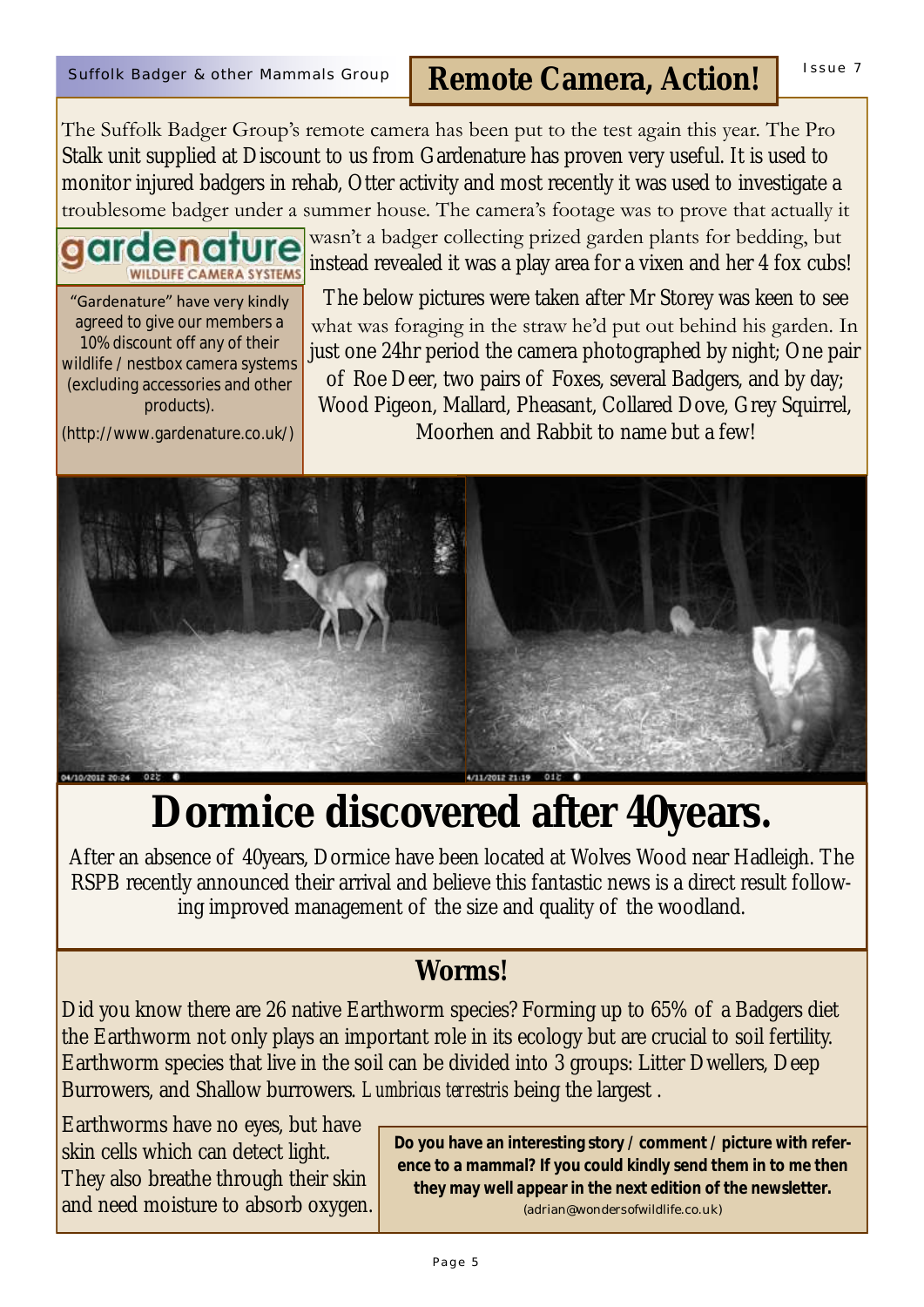The Suffolk Badger Group's remote camera has been put to the test again this year. The Pro Stalk unit supplied at Discount to us from Gardenature has proven very useful. It is used to monitor injured badgers in rehab, Otter activity and most recently it was used to investigate a troublesome badger under a summer house. The camera's footage was to prove that actually it

"Gardenature" have very kindly agreed to give our members a 10% discount off any of their wildlife / nestbox camera systems (excluding accessories and other products).

**WILDLIFE CAMERA SYSTEMS** 

(http://www.gardenature.co.uk/)

wasn't a badger collecting prized garden plants for bedding, but instead revealed it was a play area for a vixen and her 4 fox cubs!

The below pictures were taken after Mr Storey was keen to see what was foraging in the straw he'd put out behind his garden. In just one 24hr period the camera photographed by night; One pair of Roe Deer, two pairs of Foxes, several Badgers, and by day; Wood Pigeon, Mallard, Pheasant, Collared Dove, Grey Squirrel, Moorhen and Rabbit to name but a few!



## **Dormice discovered after 40years.**

After an absence of 40years, Dormice have been located at Wolves Wood near Hadleigh. The RSPB recently announced their arrival and believe this fantastic news is a direct result following improved management of the size and quality of the woodland.

#### **Worms!**

Did you know there are 26 native Earthworm species? Forming up to 65% of a Badgers diet the Earthworm not only plays an important role in its ecology but are crucial to soil fertility. Earthworm species that live in the soil can be divided into 3 groups: Litter Dwellers, Deep Burrowers, and Shallow burrowers. *Lumbricus terrestris* being the largest .

Earthworms have no eyes, but have skin cells which can detect light. They also breathe through their skin and need moisture to absorb oxygen.

**Do you have an interesting story / comment / picture with reference to a mammal? If you could kindly send them in to me then they may well appear in the next edition of the newsletter.**  (adrian@wondersofwildlife.co.uk)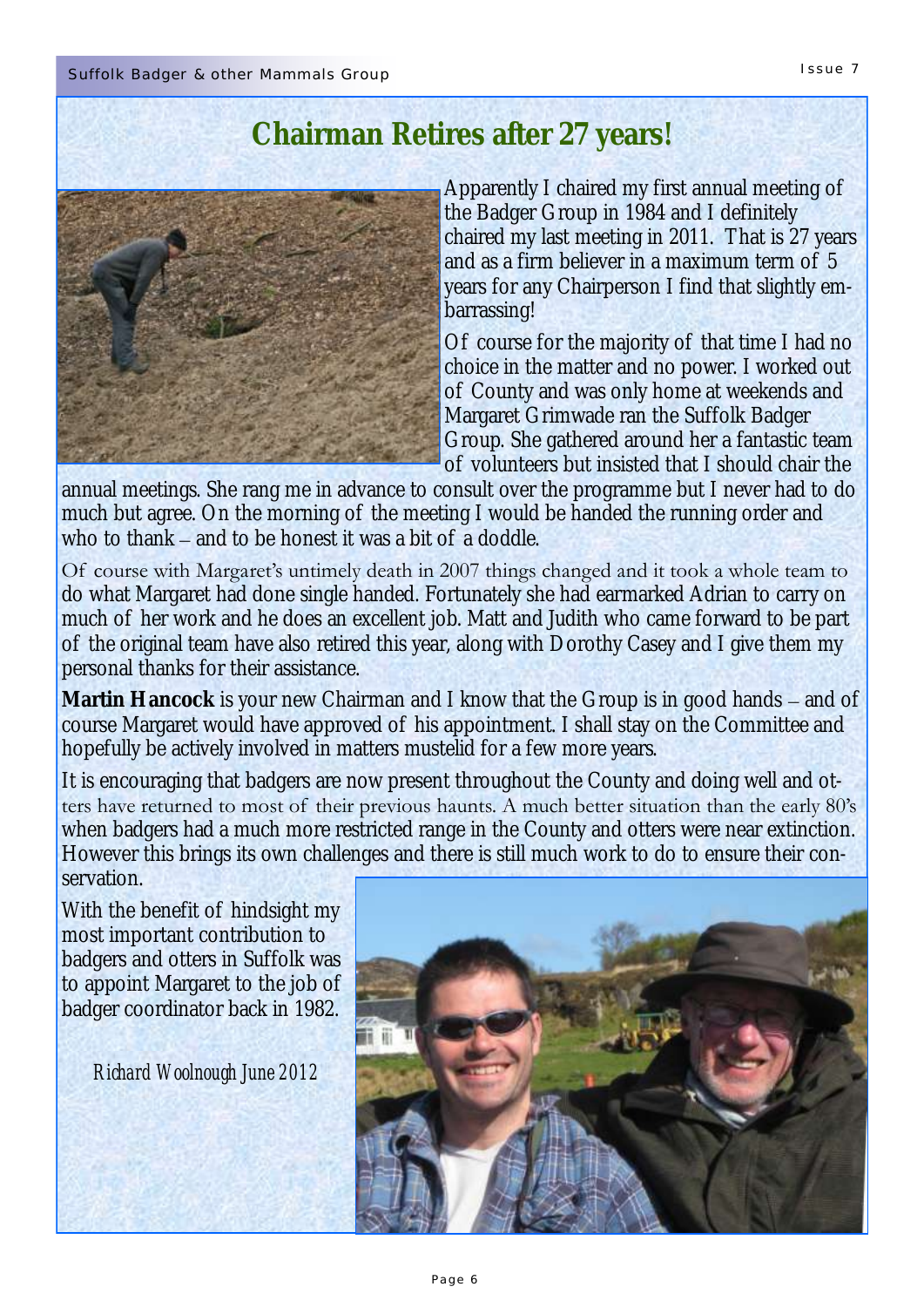### **Chairman Retires after 27 years!**



Apparently I chaired my first annual meeting of the Badger Group in 1984 and I definitely chaired my last meeting in 2011. That is 27 years and as a firm believer in a maximum term of 5 years for any Chairperson I find that slightly embarrassing!

Of course for the majority of that time I had no choice in the matter and no power. I worked out of County and was only home at weekends and Margaret Grimwade ran the Suffolk Badger Group. She gathered around her a fantastic team of volunteers but insisted that I should chair the

annual meetings. She rang me in advance to consult over the programme but I never had to do much but agree. On the morning of the meeting I would be handed the running order and who to thank – and to be honest it was a bit of a doddle.

Of course with Margaret's untimely death in 2007 things changed and it took a whole team to do what Margaret had done single handed. Fortunately she had earmarked Adrian to carry on much of her work and he does an excellent job. Matt and Judith who came forward to be part of the original team have also retired this year, along with Dorothy Casey and I give them my personal thanks for their assistance.

**Martin Hancock** is your new Chairman and I know that the Group is in good hands – and of course Margaret would have approved of his appointment. I shall stay on the Committee and hopefully be actively involved in matters mustelid for a few more years.

It is encouraging that badgers are now present throughout the County and doing well and otters have returned to most of their previous haunts. A much better situation than the early 80's when badgers had a much more restricted range in the County and otters were near extinction. However this brings its own challenges and there is still much work to do to ensure their conservation.

With the benefit of hindsight my most important contribution to badgers and otters in Suffolk was to appoint Margaret to the job of badger coordinator back in 1982.

*Richard Woolnough June 2012*

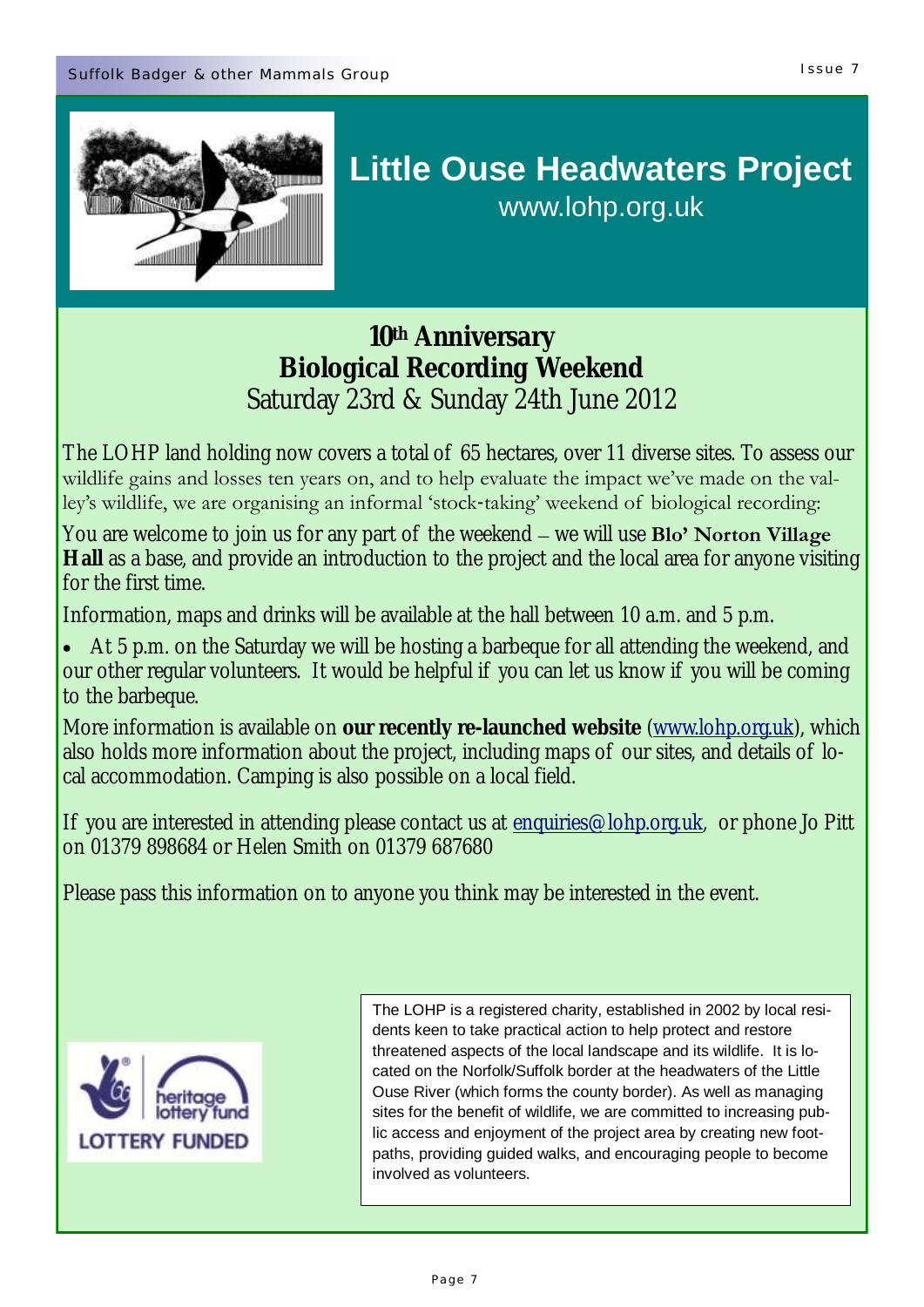

### **Little Ouse Headwaters Project**  www.lohp.org.uk

**10th Anniversary Biological Recording Weekend** Saturday 23rd & Sunday 24th June 2012

The LOHP land holding now covers a total of 65 hectares, over 11 diverse sites. To assess our wildlife gains and losses ten years on, and to help evaluate the impact we've made on the valley's wildlife, we are organising an informal 'stock-taking' weekend of biological recording:

You are welcome to join us for any part of the weekend – we will use **Blo' Norton Village Hall** as a base, and provide an introduction to the project and the local area for anyone visiting for the first time.

Information, maps and drinks will be available at the hall between 10 a.m. and 5 p.m.

 At 5 p.m. on the Saturday we will be hosting a barbeque for all attending the weekend, and our other regular volunteers. It would be helpful if you can let us know if you will be coming to the barbeque.

More information is available on **our recently re-launched website** ([www.lohp.org.uk\)](http://www.lohp.org.uk), which also holds more information about the project, including maps of our sites, and details of local accommodation. Camping is also possible on a local field.

If you are interested in attending please contact us at [enquiries@lohp.org.uk,](mailto:enquiries@lohp.org.uk) or phone Jo Pitt on 01379 898684 or Helen Smith on 01379 687680

Please pass this information on to anyone you think may be interested in the event.



The LOHP is a registered charity, established in 2002 by local residents keen to take practical action to help protect and restore threatened aspects of the local landscape and its wildlife. It is located on the Norfolk/Suffolk border at the headwaters of the Little Ouse River (which forms the county border). As well as managing sites for the benefit of wildlife, we are committed to increasing public access and enjoyment of the project area by creating new footpaths, providing guided walks, and encouraging people to become involved as volunteers.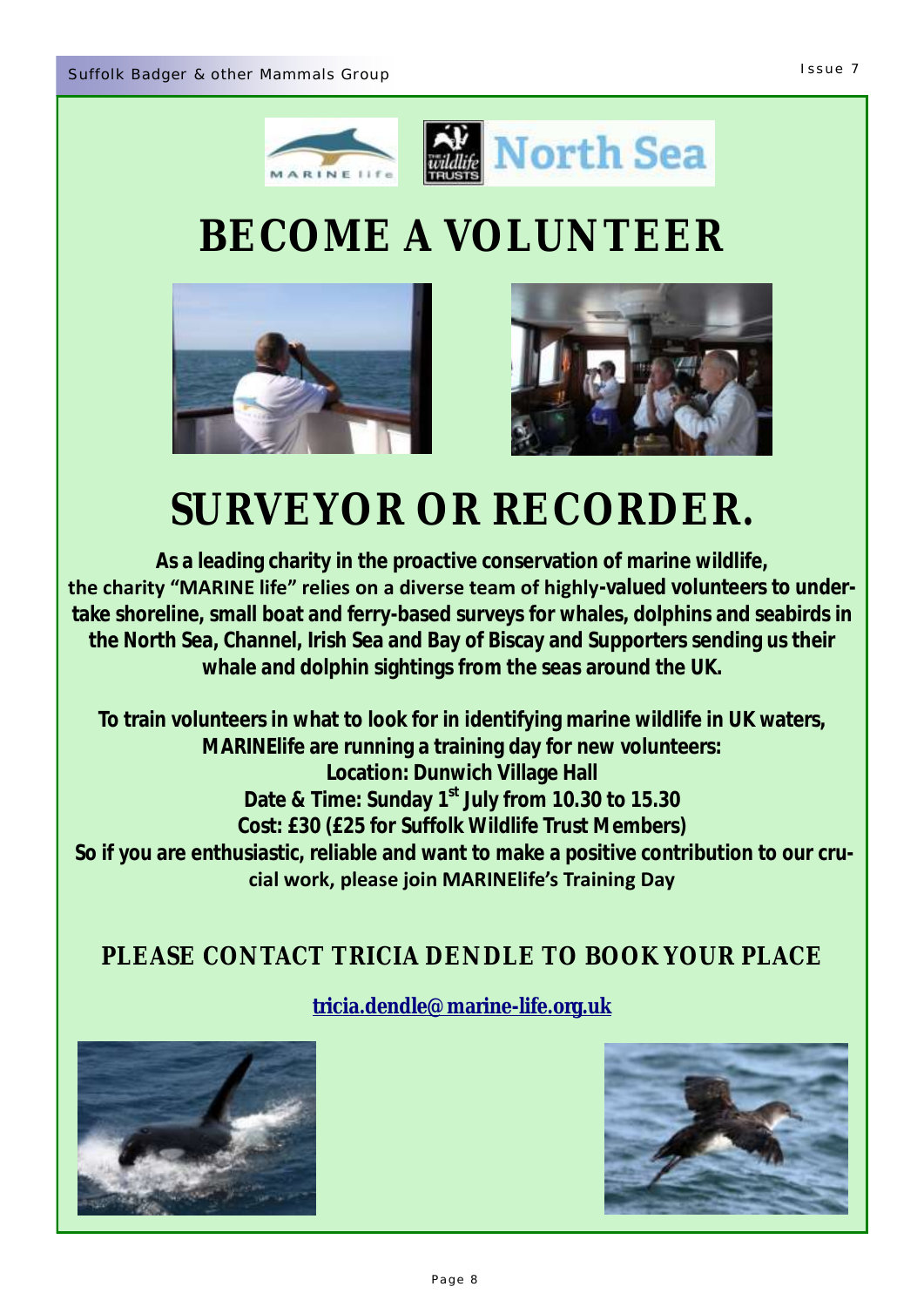



# **BECOME A VOLUNTEER**





# **SURVEYOR OR RECORDER.**

**As a leading charity in the proactive conservation of marine wildlife,**  the charity "MARINE life" relies on a diverse team of highly-valued volunteers to under**take shoreline, small boat and ferry-based surveys for whales, dolphins and seabirds in the North Sea, Channel, Irish Sea and Bay of Biscay and Supporters sending us their whale and dolphin sightings from the seas around the UK.** 

**To train volunteers in what to look for in identifying marine wildlife in UK waters, MARINElife are running a training day for new volunteers: Location: Dunwich Village Hall Date & Time: Sunday 1st July from 10.30 to 15.30 Cost: £30 (£25 for Suffolk Wildlife Trust Members) So if you are enthusiastic, reliable and want to make a positive contribution to our crucial work, please join MARINElife's Training Day** 

#### **PLEASE CONTACT TRICIA DENDLE TO BOOK YOUR PLACE**



**[tricia.dendle@marine-life.org.uk](mailto:tricia.dendle@marine-life.org.uk)**

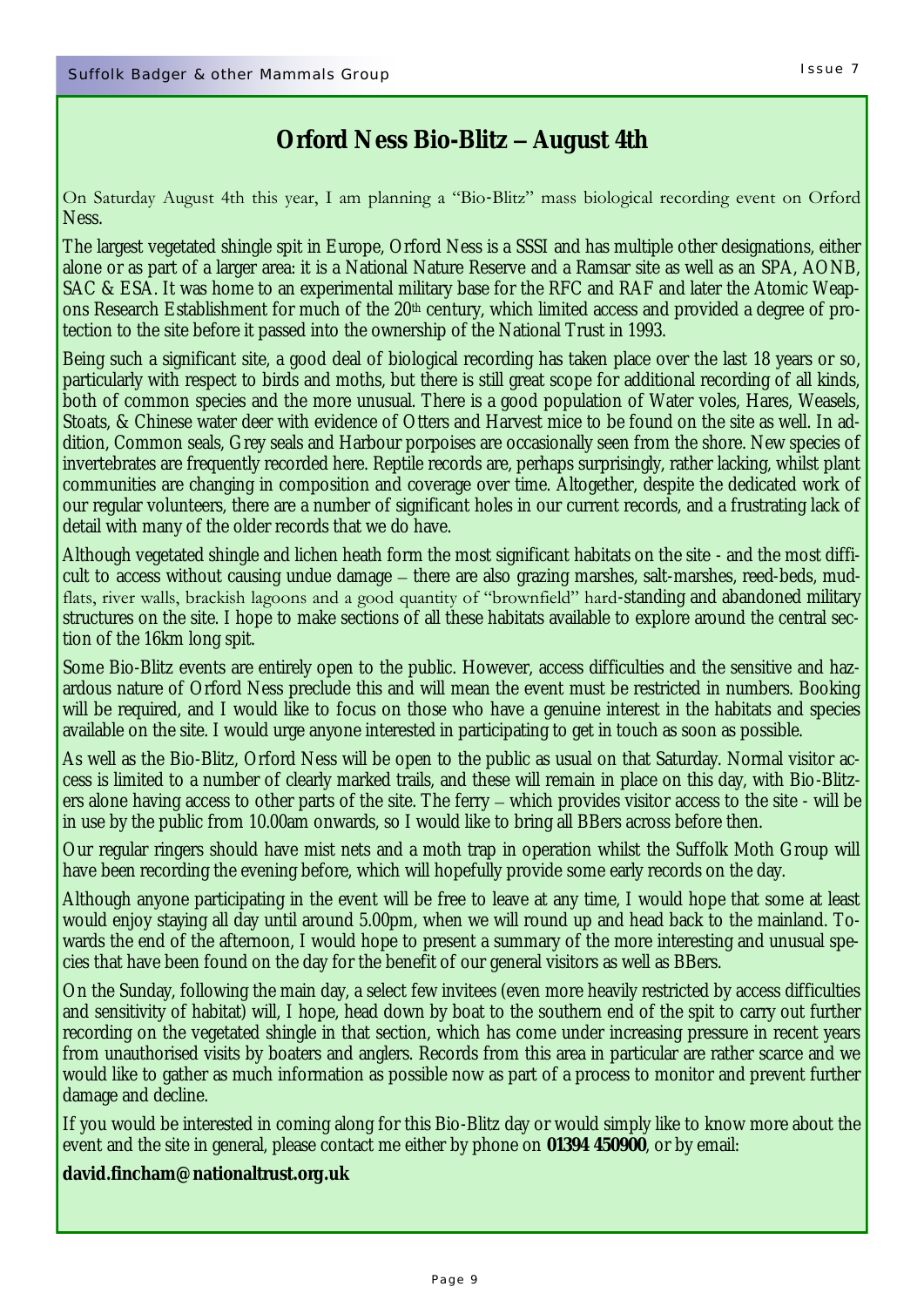#### **Orford Ness Bio-Blitz – August 4th**

#### On Saturday August 4th this year, I am planning a "Bio-Blitz" mass biological recording event on Orford Ness.

The largest vegetated shingle spit in Europe, Orford Ness is a SSSI and has multiple other designations, either alone or as part of a larger area: it is a National Nature Reserve and a Ramsar site as well as an SPA, AONB, SAC & ESA. It was home to an experimental military base for the RFC and RAF and later the Atomic Weapons Research Establishment for much of the 20th century, which limited access and provided a degree of protection to the site before it passed into the ownership of the National Trust in 1993.

Being such a significant site, a good deal of biological recording has taken place over the last 18 years or so, particularly with respect to birds and moths, but there is still great scope for additional recording of all kinds, both of common species and the more unusual. There is a good population of Water voles, Hares, Weasels, Stoats, & Chinese water deer with evidence of Otters and Harvest mice to be found on the site as well. In addition, Common seals, Grey seals and Harbour porpoises are occasionally seen from the shore. New species of invertebrates are frequently recorded here. Reptile records are, perhaps surprisingly, rather lacking, whilst plant communities are changing in composition and coverage over time. Altogether, despite the dedicated work of our regular volunteers, there are a number of significant holes in our current records, and a frustrating lack of detail with many of the older records that we do have.

Although vegetated shingle and lichen heath form the most significant habitats on the site - and the most difficult to access without causing undue damage – there are also grazing marshes, salt-marshes, reed-beds, mudflats, river walls, brackish lagoons and a good quantity of "brownfield" hard-standing and abandoned military structures on the site. I hope to make sections of all these habitats available to explore around the central section of the 16km long spit.

Some Bio-Blitz events are entirely open to the public. However, access difficulties and the sensitive and hazardous nature of Orford Ness preclude this and will mean the event must be restricted in numbers. Booking will be required, and I would like to focus on those who have a genuine interest in the habitats and species available on the site. I would urge anyone interested in participating to get in touch as soon as possible.

As well as the Bio-Blitz, Orford Ness will be open to the public as usual on that Saturday. Normal visitor access is limited to a number of clearly marked trails, and these will remain in place on this day, with Bio-Blitzers alone having access to other parts of the site. The ferry – which provides visitor access to the site - will be in use by the public from 10.00am onwards, so I would like to bring all BBers across before then.

Our regular ringers should have mist nets and a moth trap in operation whilst the Suffolk Moth Group will have been recording the evening before, which will hopefully provide some early records on the day.

Although anyone participating in the event will be free to leave at any time, I would hope that some at least would enjoy staying all day until around 5.00pm, when we will round up and head back to the mainland. Towards the end of the afternoon, I would hope to present a summary of the more interesting and unusual species that have been found on the day for the benefit of our general visitors as well as BBers.

On the Sunday, following the main day, a select few invitees (even more heavily restricted by access difficulties and sensitivity of habitat) will, I hope, head down by boat to the southern end of the spit to carry out further recording on the vegetated shingle in that section, which has come under increasing pressure in recent years from unauthorised visits by boaters and anglers. Records from this area in particular are rather scarce and we would like to gather as much information as possible now as part of a process to monitor and prevent further damage and decline.

If you would be interested in coming along for this Bio-Blitz day or would simply like to know more about the event and the site in general, please contact me either by phone on **01394 450900**, or by email:

**david.fincham@nationaltrust.org.uk**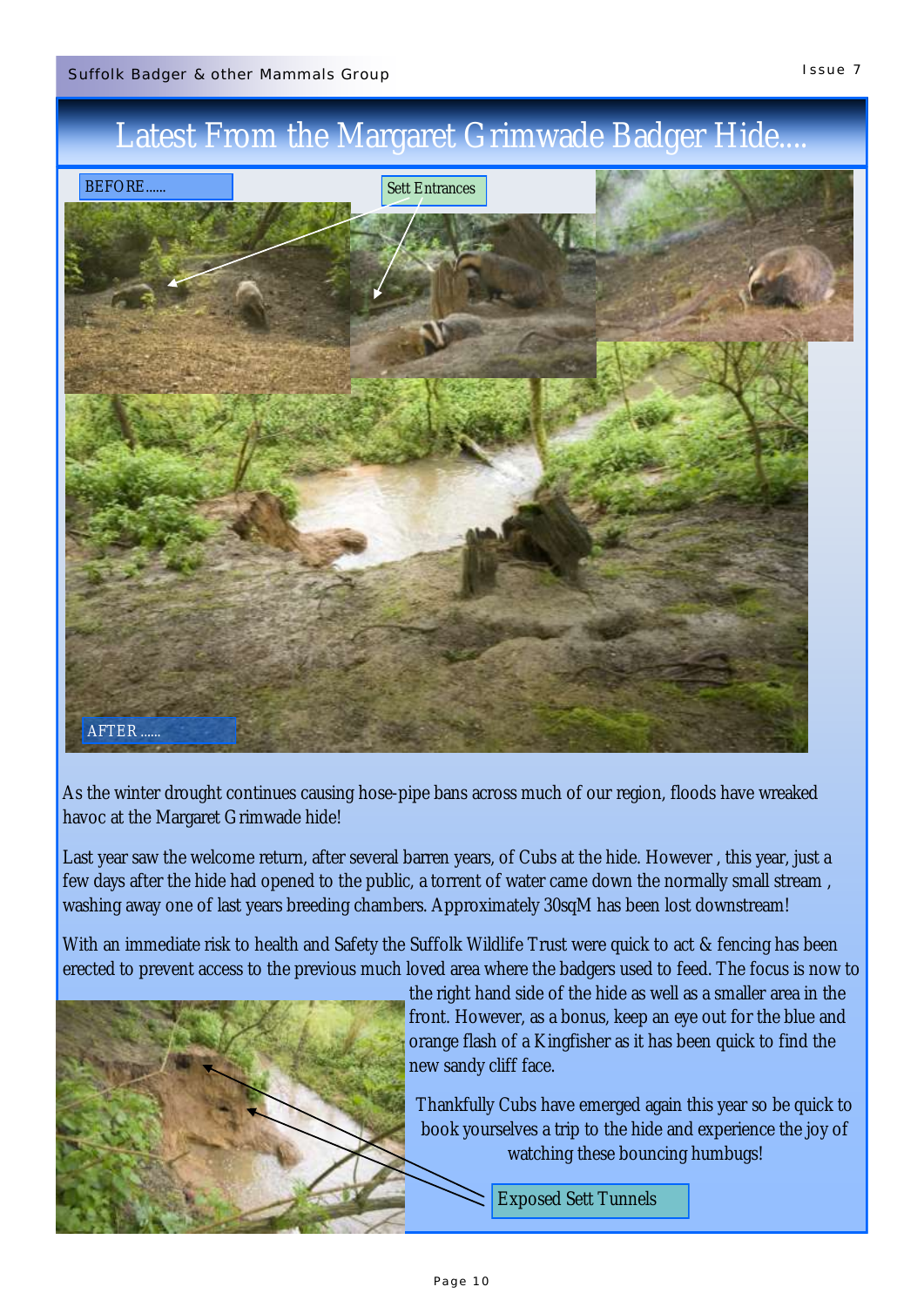### Latest From the Margaret Grimwade Badger Hide....



As the winter drought continues causing hose-pipe bans across much of our region, floods have wreaked havoc at the Margaret Grimwade hide!

Last year saw the welcome return, after several barren years, of Cubs at the hide. However , this year, just a few days after the hide had opened to the public, a torrent of water came down the normally small stream , washing away one of last years breeding chambers. Approximately 30sqM has been lost downstream!

With an immediate risk to health and Safety the Suffolk Wildlife Trust were quick to act & fencing has been erected to prevent access to the previous much loved area where the badgers used to feed. The focus is now to



the right hand side of the hide as well as a smaller area in the front. However, as a bonus, keep an eye out for the blue and orange flash of a Kingfisher as it has been quick to find the new sandy cliff face.

Thankfully Cubs have emerged again this year so be quick to book yourselves a trip to the hide and experience the joy of watching these bouncing humbugs!

Exposed Sett Tunnels